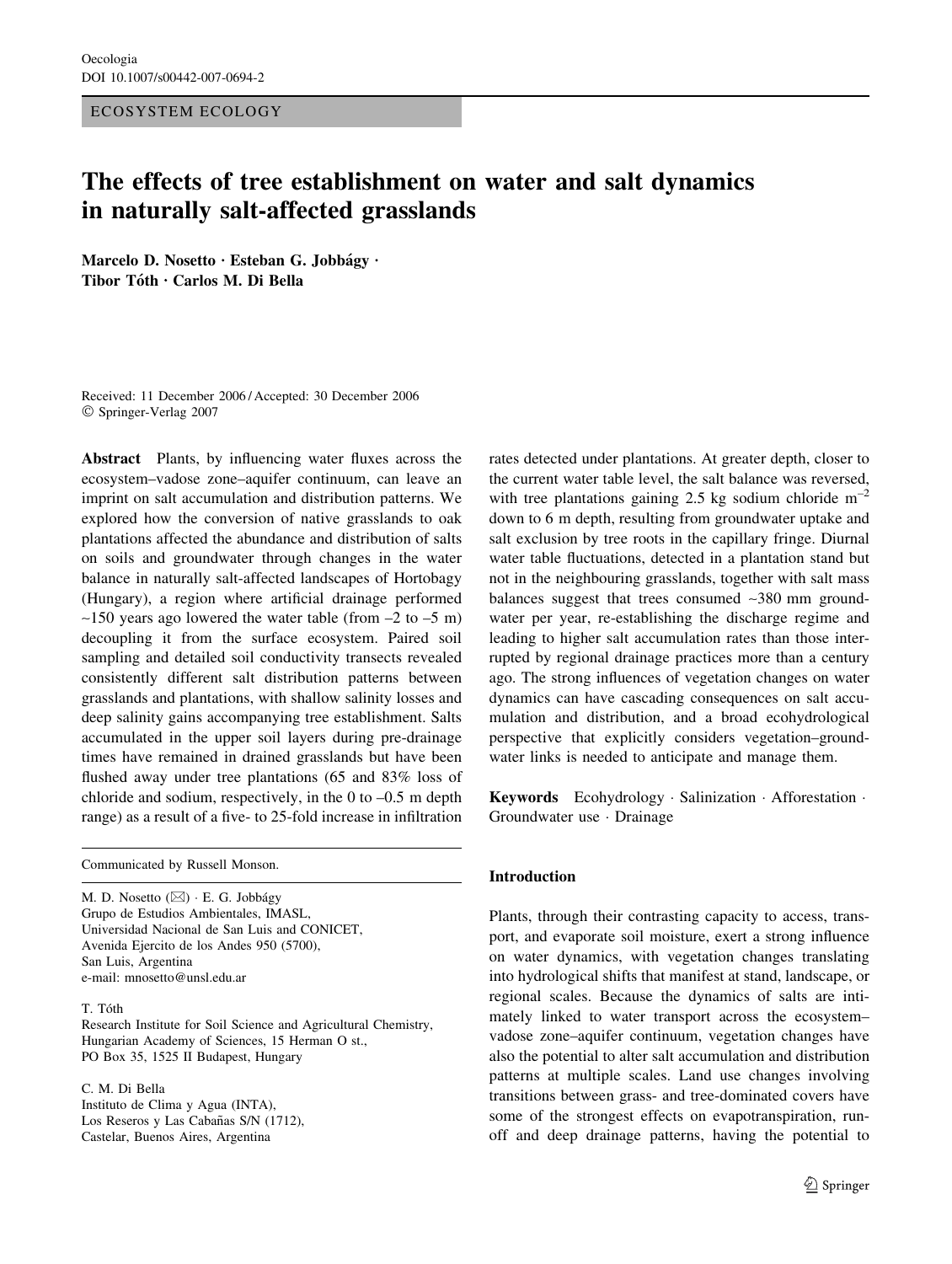#### ECOSYSTEM ECOLOGY

# The effects of tree establishment on water and salt dynamics in naturally salt-affected grasslands

Marcelo D. Nosetto · Esteban G. Jobbágy · Tibor Tóth · Carlos M. Di Bella

Received: 11 December 2006 / Accepted: 30 December 2006 Springer-Verlag 2007

Abstract Plants, by influencing water fluxes across the ecosystem–vadose zone–aquifer continuum, can leave an imprint on salt accumulation and distribution patterns. We explored how the conversion of native grasslands to oak plantations affected the abundance and distribution of salts on soils and groundwater through changes in the water balance in naturally salt-affected landscapes of Hortobagy (Hungary), a region where artificial drainage performed  $\sim$ 150 years ago lowered the water table (from  $-2$  to  $-5$  m) decoupling it from the surface ecosystem. Paired soil sampling and detailed soil conductivity transects revealed consistently different salt distribution patterns between grasslands and plantations, with shallow salinity losses and deep salinity gains accompanying tree establishment. Salts accumulated in the upper soil layers during pre-drainage times have remained in drained grasslands but have been flushed away under tree plantations (65 and 83% loss of chloride and sodium, respectively, in the 0 to –0.5 m depth range) as a result of a five- to 25-fold increase in infiltration

Communicated by Russell Monson.

M. D. Nosetto  $(\boxtimes) \cdot$  E. G. Jobbágy Grupo de Estudios Ambientales, IMASL, Universidad Nacional de San Luis and CONICET, Avenida Ejercito de los Andes 950 (5700), San Luis, Argentina e-mail: mnosetto@unsl.edu.ar

## T. Tóth

Research Institute for Soil Science and Agricultural Chemistry, Hungarian Academy of Sciences, 15 Herman O st., PO Box 35, 1525 II Budapest, Hungary

C. M. Di Bella Instituto de Clima y Agua (INTA), Los Reseros y Las Cabañas S/N (1712), Castelar, Buenos Aires, Argentina

rates detected under plantations. At greater depth, closer to the current water table level, the salt balance was reversed, with tree plantations gaining 2.5 kg sodium chloride  $m^{-2}$ down to 6 m depth, resulting from groundwater uptake and salt exclusion by tree roots in the capillary fringe. Diurnal water table fluctuations, detected in a plantation stand but not in the neighbouring grasslands, together with salt mass balances suggest that trees consumed ~380 mm groundwater per year, re-establishing the discharge regime and leading to higher salt accumulation rates than those interrupted by regional drainage practices more than a century ago. The strong influences of vegetation changes on water dynamics can have cascading consequences on salt accumulation and distribution, and a broad ecohydrological perspective that explicitly considers vegetation–groundwater links is needed to anticipate and manage them.

Keywords Ecohydrology Salinization · Afforestation · Groundwater use · Drainage

## Introduction

Plants, through their contrasting capacity to access, transport, and evaporate soil moisture, exert a strong influence on water dynamics, with vegetation changes translating into hydrological shifts that manifest at stand, landscape, or regional scales. Because the dynamics of salts are intimately linked to water transport across the ecosystem– vadose zone–aquifer continuum, vegetation changes have also the potential to alter salt accumulation and distribution patterns at multiple scales. Land use changes involving transitions between grass- and tree-dominated covers have some of the strongest effects on evapotranspiration, runoff and deep drainage patterns, having the potential to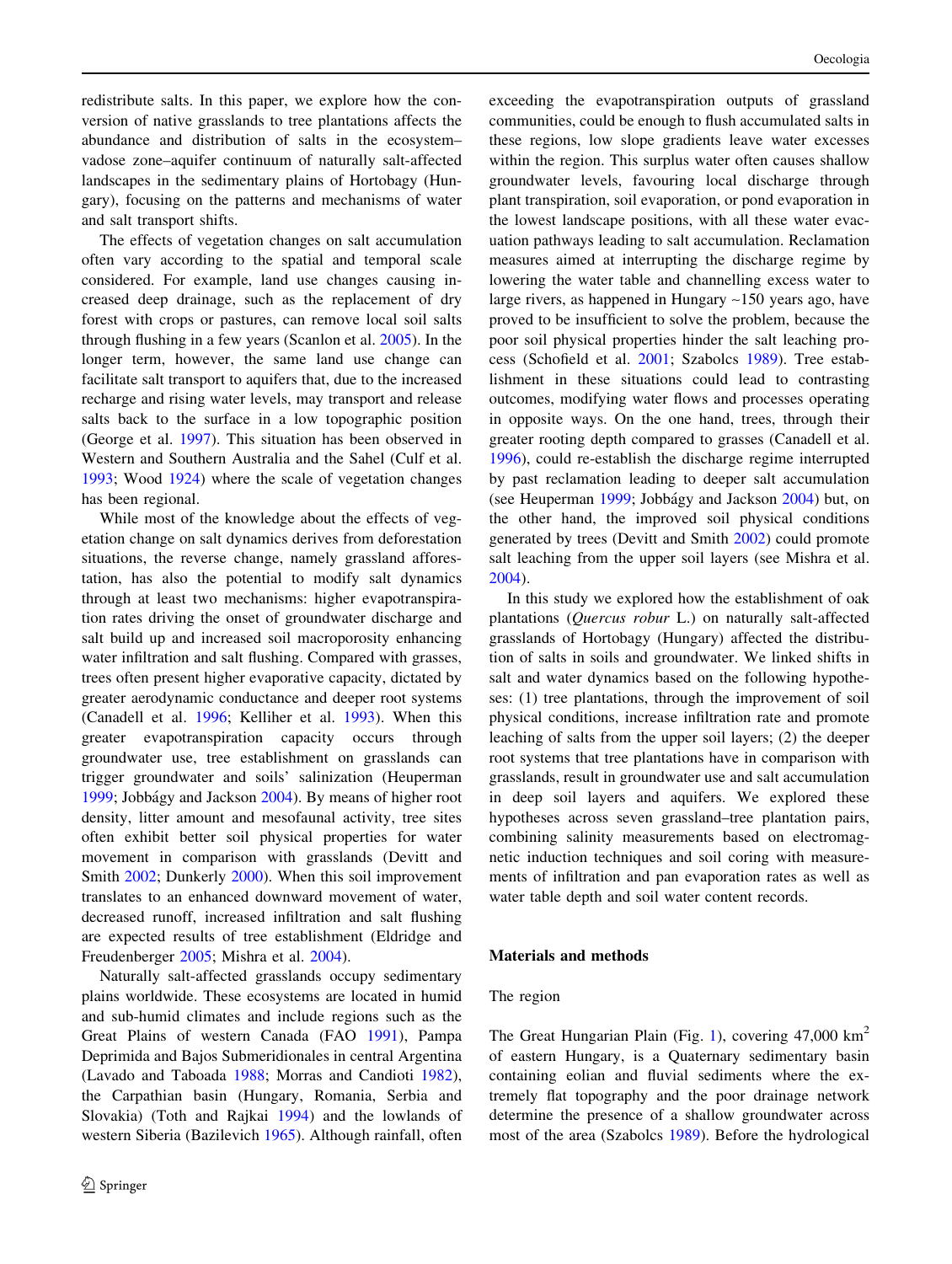redistribute salts. In this paper, we explore how the conversion of native grasslands to tree plantations affects the abundance and distribution of salts in the ecosystem– vadose zone–aquifer continuum of naturally salt-affected landscapes in the sedimentary plains of Hortobagy (Hungary), focusing on the patterns and mechanisms of water and salt transport shifts.

The effects of vegetation changes on salt accumulation often vary according to the spatial and temporal scale considered. For example, land use changes causing increased deep drainage, such as the replacement of dry forest with crops or pastures, can remove local soil salts through flushing in a few years (Scanlon et al. [2005\)](#page-9-0). In the longer term, however, the same land use change can facilitate salt transport to aquifers that, due to the increased recharge and rising water levels, may transport and release salts back to the surface in a low topographic position (George et al. [1997](#page-9-0)). This situation has been observed in Western and Southern Australia and the Sahel (Culf et al. [1993;](#page-9-0) Wood [1924](#page-10-0)) where the scale of vegetation changes has been regional.

While most of the knowledge about the effects of vegetation change on salt dynamics derives from deforestation situations, the reverse change, namely grassland afforestation, has also the potential to modify salt dynamics through at least two mechanisms: higher evapotranspiration rates driving the onset of groundwater discharge and salt build up and increased soil macroporosity enhancing water infiltration and salt flushing. Compared with grasses, trees often present higher evaporative capacity, dictated by greater aerodynamic conductance and deeper root systems (Canadell et al. [1996](#page-9-0); Kelliher et al. [1993\)](#page-9-0). When this greater evapotranspiration capacity occurs through groundwater use, tree establishment on grasslands can trigger groundwater and soils' salinization (Heuperman [1999;](#page-9-0) Jobbágy and Jackson [2004](#page-9-0)). By means of higher root density, litter amount and mesofaunal activity, tree sites often exhibit better soil physical properties for water movement in comparison with grasslands (Devitt and Smith [2002;](#page-9-0) Dunkerly [2000\)](#page-9-0). When this soil improvement translates to an enhanced downward movement of water, decreased runoff, increased infiltration and salt flushing are expected results of tree establishment (Eldridge and Freudenberger [2005;](#page-9-0) Mishra et al. [2004](#page-9-0)).

Naturally salt-affected grasslands occupy sedimentary plains worldwide. These ecosystems are located in humid and sub-humid climates and include regions such as the Great Plains of western Canada (FAO [1991\)](#page-9-0), Pampa Deprimida and Bajos Submeridionales in central Argentina (Lavado and Taboada [1988;](#page-9-0) Morras and Candioti [1982](#page-9-0)), the Carpathian basin (Hungary, Romania, Serbia and Slovakia) (Toth and Rajkai [1994](#page-10-0)) and the lowlands of western Siberia (Bazilevich [1965](#page-9-0)). Although rainfall, often exceeding the evapotranspiration outputs of grassland communities, could be enough to flush accumulated salts in these regions, low slope gradients leave water excesses within the region. This surplus water often causes shallow groundwater levels, favouring local discharge through plant transpiration, soil evaporation, or pond evaporation in the lowest landscape positions, with all these water evacuation pathways leading to salt accumulation. Reclamation measures aimed at interrupting the discharge regime by lowering the water table and channelling excess water to large rivers, as happened in Hungary  $\sim$ 150 years ago, have proved to be insufficient to solve the problem, because the poor soil physical properties hinder the salt leaching process (Schofield et al. [2001](#page-9-0); Szabolcs [1989\)](#page-9-0). Tree establishment in these situations could lead to contrasting outcomes, modifying water flows and processes operating in opposite ways. On the one hand, trees, through their greater rooting depth compared to grasses (Canadell et al. [1996](#page-9-0)), could re-establish the discharge regime interrupted by past reclamation leading to deeper salt accumulation (see Heuperman [1999](#page-9-0); Jobba´gy and Jackson [2004](#page-9-0)) but, on the other hand, the improved soil physical conditions generated by trees (Devitt and Smith [2002](#page-9-0)) could promote salt leaching from the upper soil layers (see Mishra et al. [2004](#page-9-0)).

In this study we explored how the establishment of oak plantations (Quercus robur L.) on naturally salt-affected grasslands of Hortobagy (Hungary) affected the distribution of salts in soils and groundwater. We linked shifts in salt and water dynamics based on the following hypotheses: (1) tree plantations, through the improvement of soil physical conditions, increase infiltration rate and promote leaching of salts from the upper soil layers; (2) the deeper root systems that tree plantations have in comparison with grasslands, result in groundwater use and salt accumulation in deep soil layers and aquifers. We explored these hypotheses across seven grassland–tree plantation pairs, combining salinity measurements based on electromagnetic induction techniques and soil coring with measurements of infiltration and pan evaporation rates as well as water table depth and soil water content records.

#### Materials and methods

## The region

The Great Hungarian Plain (Fig. [1\)](#page-2-0), covering  $47,000 \text{ km}^2$ of eastern Hungary, is a Quaternary sedimentary basin containing eolian and fluvial sediments where the extremely flat topography and the poor drainage network determine the presence of a shallow groundwater across most of the area (Szabolcs [1989](#page-9-0)). Before the hydrological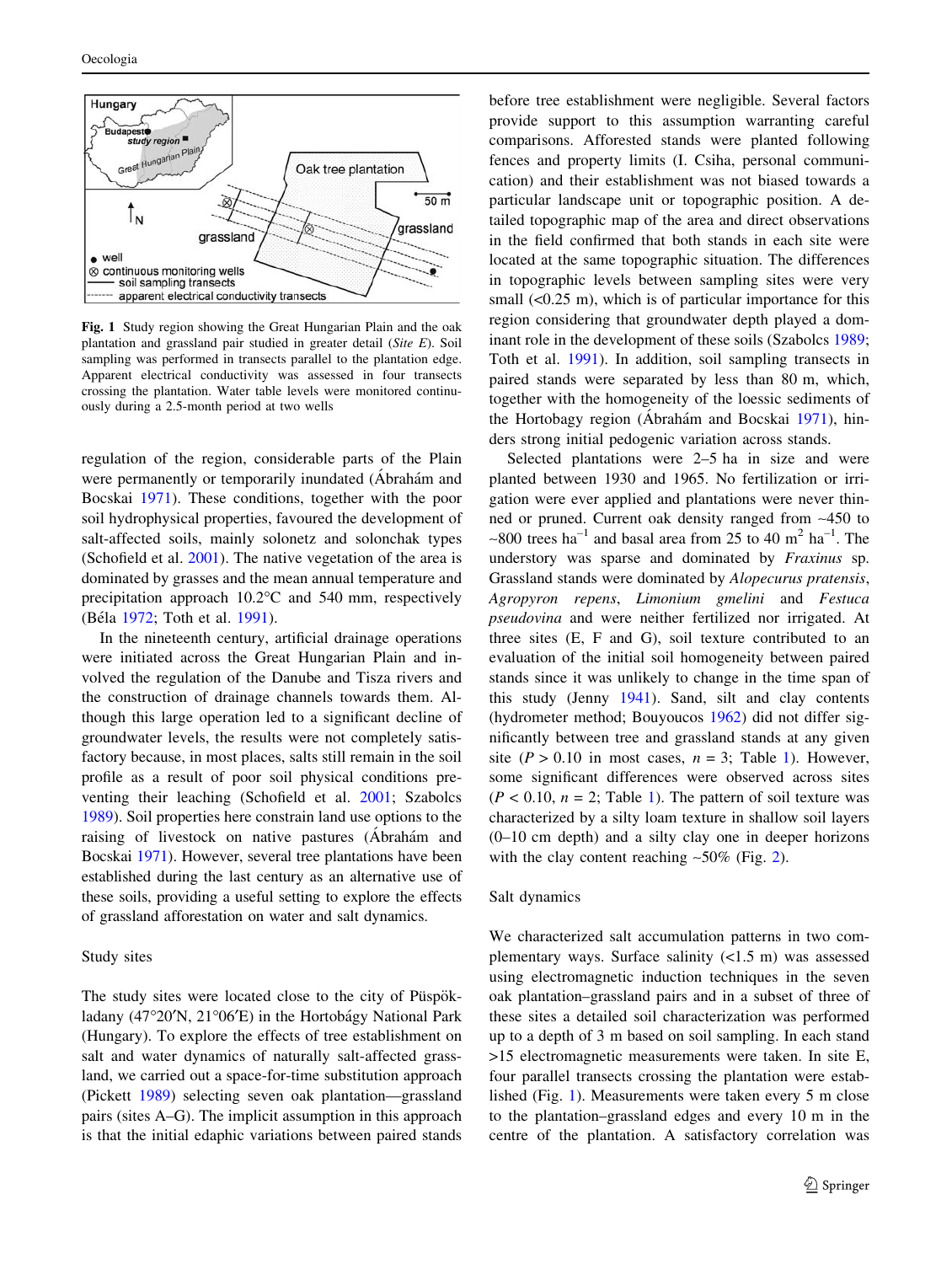<span id="page-2-0"></span>

Fig. 1 Study region showing the Great Hungarian Plain and the oak plantation and grassland pair studied in greater detail (Site E). Soil sampling was performed in transects parallel to the plantation edge. Apparent electrical conductivity was assessed in four transects crossing the plantation. Water table levels were monitored continuously during a 2.5-month period at two wells

regulation of the region, considerable parts of the Plain were permanently or temporarily inundated (Abrahám and Bocskai [1971\)](#page-9-0). These conditions, together with the poor soil hydrophysical properties, favoured the development of salt-affected soils, mainly solonetz and solonchak types (Schofield et al. [2001\)](#page-9-0). The native vegetation of the area is dominated by grasses and the mean annual temperature and precipitation approach  $10.2$ °C and 540 mm, respectively (Béla [1972](#page-9-0); Toth et al. [1991](#page-10-0)).

In the nineteenth century, artificial drainage operations were initiated across the Great Hungarian Plain and involved the regulation of the Danube and Tisza rivers and the construction of drainage channels towards them. Although this large operation led to a significant decline of groundwater levels, the results were not completely satisfactory because, in most places, salts still remain in the soil profile as a result of poor soil physical conditions preventing their leaching (Schofield et al. [2001](#page-9-0); Szabolcs [1989\)](#page-9-0). Soil properties here constrain land use options to the raising of livestock on native pastures (Abrahám and Bocskai [1971](#page-9-0)). However, several tree plantations have been established during the last century as an alternative use of these soils, providing a useful setting to explore the effects of grassland afforestation on water and salt dynamics.

# Study sites

The study sites were located close to the city of Püspökladany (47°20'N, 21°06'E) in the Hortobágy National Park (Hungary). To explore the effects of tree establishment on salt and water dynamics of naturally salt-affected grassland, we carried out a space-for-time substitution approach (Pickett [1989\)](#page-9-0) selecting seven oak plantation—grassland pairs (sites A–G). The implicit assumption in this approach is that the initial edaphic variations between paired stands before tree establishment were negligible. Several factors provide support to this assumption warranting careful comparisons. Afforested stands were planted following fences and property limits (I. Csiha, personal communication) and their establishment was not biased towards a particular landscape unit or topographic position. A detailed topographic map of the area and direct observations in the field confirmed that both stands in each site were located at the same topographic situation. The differences in topographic levels between sampling sites were very small  $( $0.25 \, \text{m}$ )$ , which is of particular importance for this region considering that groundwater depth played a dominant role in the development of these soils (Szabolcs [1989](#page-9-0); Toth et al. [1991\)](#page-10-0). In addition, soil sampling transects in paired stands were separated by less than 80 m, which, together with the homogeneity of the loessic sediments of the Hortobagy region (Ábrahám and Bocskai [1971](#page-9-0)), hinders strong initial pedogenic variation across stands.

Selected plantations were 2–5 ha in size and were planted between 1930 and 1965. No fertilization or irrigation were ever applied and plantations were never thinned or pruned. Current oak density ranged from ~450 to  $\sim$ 800 trees ha<sup>-1</sup> and basal area from 25 to 40 m<sup>2</sup> ha<sup>-1</sup>. The understory was sparse and dominated by Fraxinus sp. Grassland stands were dominated by Alopecurus pratensis, Agropyron repens, Limonium gmelini and Festuca pseudovina and were neither fertilized nor irrigated. At three sites (E, F and G), soil texture contributed to an evaluation of the initial soil homogeneity between paired stands since it was unlikely to change in the time span of this study (Jenny [1941\)](#page-9-0). Sand, silt and clay contents (hydrometer method; Bouyoucos [1962\)](#page-9-0) did not differ significantly between tree and grassland stands at any given site ( $P > 0.10$  in most cases,  $n = 3$ ; Table [1\)](#page-3-0). However, some significant differences were observed across sites  $(P < 0.10, n = 2$  $(P < 0.10, n = 2$  $(P < 0.10, n = 2$ ; Table 1). The pattern of soil texture was characterized by a silty loam texture in shallow soil layers (0–10 cm depth) and a silty clay one in deeper horizons with the clay content reaching  $\sim 50\%$  (Fig. [2](#page-3-0)).

## Salt dynamics

We characterized salt accumulation patterns in two complementary ways. Surface salinity (<1.5 m) was assessed using electromagnetic induction techniques in the seven oak plantation–grassland pairs and in a subset of three of these sites a detailed soil characterization was performed up to a depth of 3 m based on soil sampling. In each stand >15 electromagnetic measurements were taken. In site E, four parallel transects crossing the plantation were established (Fig. 1). Measurements were taken every 5 m close to the plantation–grassland edges and every 10 m in the centre of the plantation. A satisfactory correlation was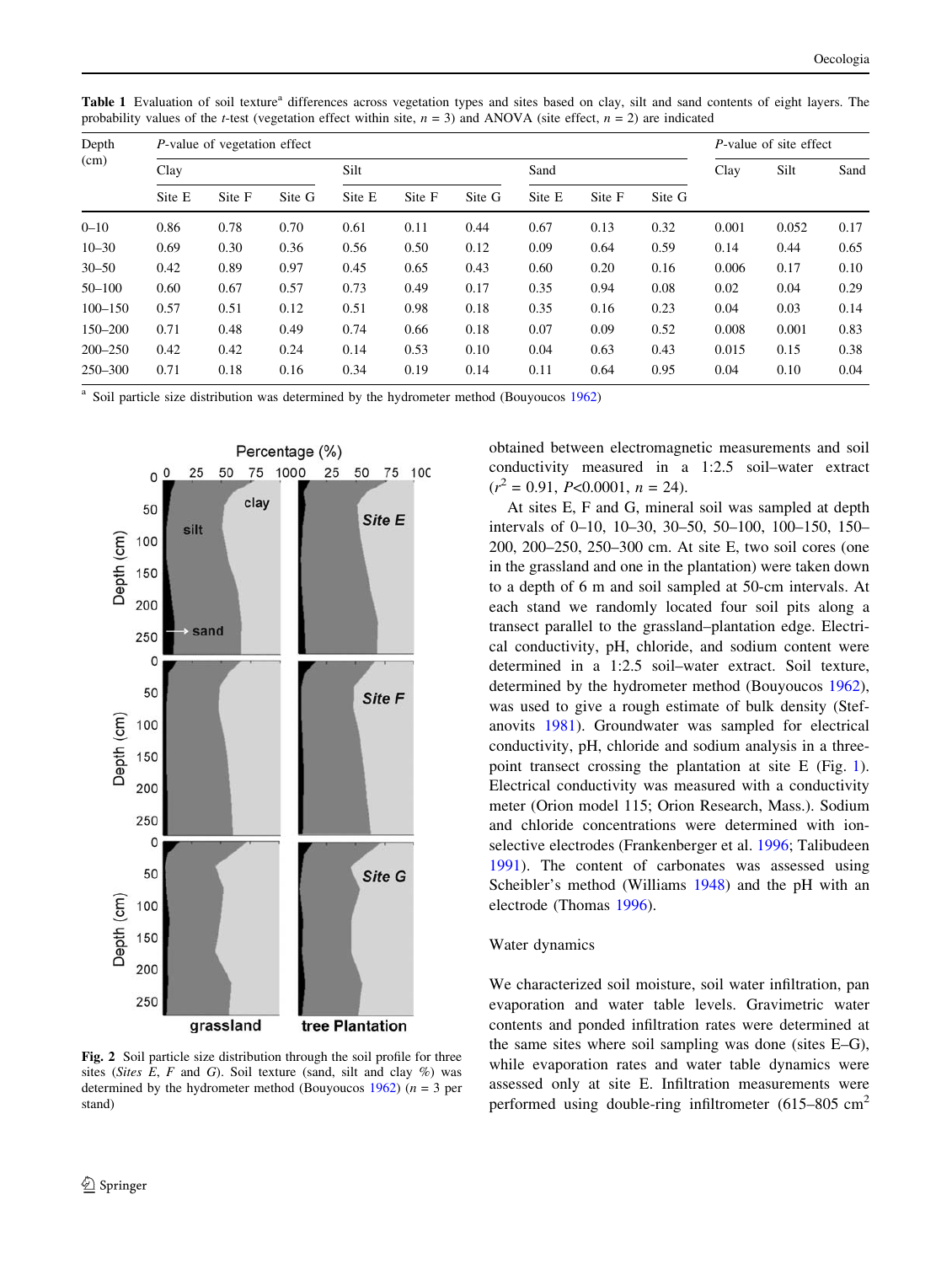| Depth<br>(cm) | P-value of vegetation effect |        |        |        |        |        |        |        |        | P-value of site effect |       |      |
|---------------|------------------------------|--------|--------|--------|--------|--------|--------|--------|--------|------------------------|-------|------|
|               | Clay                         |        |        | Silt   |        |        | Sand   |        |        | Clay                   | Silt  | Sand |
|               | Site E                       | Site F | Site G | Site E | Site F | Site G | Site E | Site F | Site G |                        |       |      |
| $0 - 10$      | 0.86                         | 0.78   | 0.70   | 0.61   | 0.11   | 0.44   | 0.67   | 0.13   | 0.32   | 0.001                  | 0.052 | 0.17 |
| $10 - 30$     | 0.69                         | 0.30   | 0.36   | 0.56   | 0.50   | 0.12   | 0.09   | 0.64   | 0.59   | 0.14                   | 0.44  | 0.65 |
| $30 - 50$     | 0.42                         | 0.89   | 0.97   | 0.45   | 0.65   | 0.43   | 0.60   | 0.20   | 0.16   | 0.006                  | 0.17  | 0.10 |
| $50 - 100$    | 0.60                         | 0.67   | 0.57   | 0.73   | 0.49   | 0.17   | 0.35   | 0.94   | 0.08   | 0.02                   | 0.04  | 0.29 |
| $100 - 150$   | 0.57                         | 0.51   | 0.12   | 0.51   | 0.98   | 0.18   | 0.35   | 0.16   | 0.23   | 0.04                   | 0.03  | 0.14 |
| 150-200       | 0.71                         | 0.48   | 0.49   | 0.74   | 0.66   | 0.18   | 0.07   | 0.09   | 0.52   | 0.008                  | 0.001 | 0.83 |
| $200 - 250$   | 0.42                         | 0.42   | 0.24   | 0.14   | 0.53   | 0.10   | 0.04   | 0.63   | 0.43   | 0.015                  | 0.15  | 0.38 |
| $250 - 300$   | 0.71                         | 0.18   | 0.16   | 0.34   | 0.19   | 0.14   | 0.11   | 0.64   | 0.95   | 0.04                   | 0.10  | 0.04 |

<span id="page-3-0"></span>Table 1 Evaluation of soil texture<sup>a</sup> differences across vegetation types and sites based on clay, silt and sand contents of eight layers. The probability values of the t-test (vegetation effect within site,  $n = 3$ ) and ANOVA (site effect,  $n = 2$ ) are indicated

Soil particle size distribution was determined by the hydrometer method (Bouyoucos [1962\)](#page-9-0)



Fig. 2 Soil particle size distribution through the soil profile for three sites (Sites E, F and G). Soil texture (sand, silt and clay  $\%$ ) was determined by the hydrometer method (Bouyoucos [1962\)](#page-9-0) ( $n = 3$  per stand)

obtained between electromagnetic measurements and soil conductivity measured in a 1:2.5 soil–water extract  $(r^2 = 0.91, P < 0.0001, n = 24).$ 

At sites E, F and G, mineral soil was sampled at depth intervals of 0–10, 10–30, 30–50, 50–100, 100–150, 150– 200, 200–250, 250–300 cm. At site E, two soil cores (one in the grassland and one in the plantation) were taken down to a depth of 6 m and soil sampled at 50-cm intervals. At each stand we randomly located four soil pits along a transect parallel to the grassland–plantation edge. Electrical conductivity, pH, chloride, and sodium content were determined in a 1:2.5 soil–water extract. Soil texture, determined by the hydrometer method (Bouyoucos [1962](#page-9-0)), was used to give a rough estimate of bulk density (Stefanovits [1981\)](#page-9-0). Groundwater was sampled for electrical conductivity, pH, chloride and sodium analysis in a threepoint transect crossing the plantation at site E (Fig. [1](#page-2-0)). Electrical conductivity was measured with a conductivity meter (Orion model 115; Orion Research, Mass.). Sodium and chloride concentrations were determined with ionselective electrodes (Frankenberger et al. [1996;](#page-9-0) Talibudeen [1991](#page-10-0)). The content of carbonates was assessed using Scheibler's method (Williams [1948\)](#page-10-0) and the pH with an electrode (Thomas [1996](#page-10-0)).

#### Water dynamics

We characterized soil moisture, soil water infiltration, pan evaporation and water table levels. Gravimetric water contents and ponded infiltration rates were determined at the same sites where soil sampling was done (sites E–G), while evaporation rates and water table dynamics were assessed only at site E. Infiltration measurements were performed using double-ring infiltrometer  $(615-805 \text{ cm}^2)$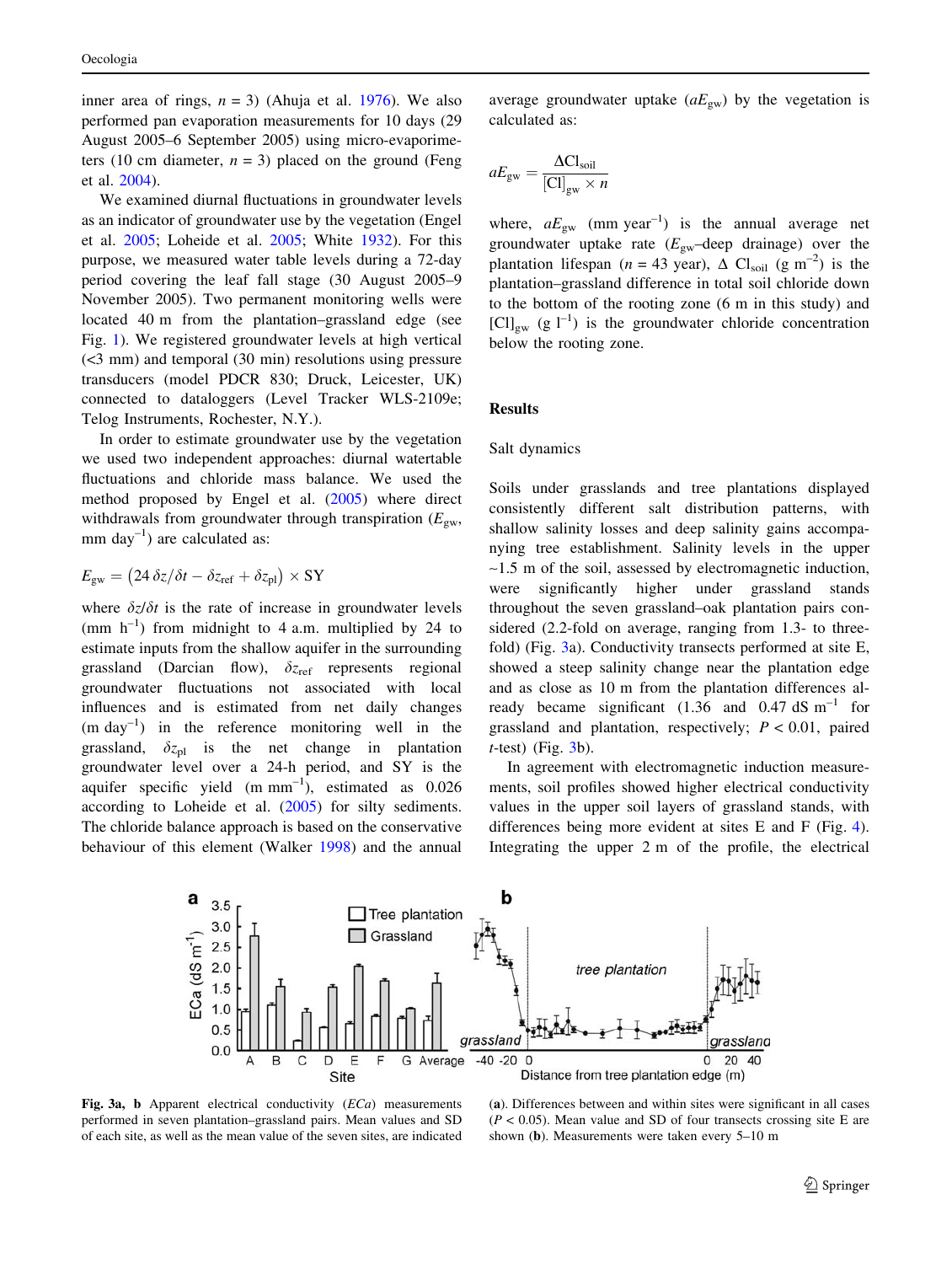<span id="page-4-0"></span>inner area of rings,  $n = 3$ ) (Ahuja et al. [1976\)](#page-9-0). We also performed pan evaporation measurements for 10 days (29 August 2005–6 September 2005) using micro-evaporimeters (10 cm diameter,  $n = 3$ ) placed on the ground (Feng et al. [2004\)](#page-9-0).

We examined diurnal fluctuations in groundwater levels as an indicator of groundwater use by the vegetation (Engel et al. [2005](#page-9-0); Loheide et al. [2005;](#page-9-0) White [1932\)](#page-10-0). For this purpose, we measured water table levels during a 72-day period covering the leaf fall stage (30 August 2005–9 November 2005). Two permanent monitoring wells were located 40 m from the plantation–grassland edge (see Fig. [1](#page-2-0)). We registered groundwater levels at high vertical (<3 mm) and temporal (30 min) resolutions using pressure transducers (model PDCR 830; Druck, Leicester, UK) connected to dataloggers (Level Tracker WLS-2109e; Telog Instruments, Rochester, N.Y.).

In order to estimate groundwater use by the vegetation we used two independent approaches: diurnal watertable fluctuations and chloride mass balance. We used the method proposed by Engel et al. ([2005\)](#page-9-0) where direct withdrawals from groundwater through transpiration ( $E_{\text{gw}}$ , mm day $^{-1}$ ) are calculated as:

$$
E_{\rm gw} = (24 \,\delta z/\delta t - \delta z_{\rm ref} + \delta z_{\rm pl}) \times \rm SY
$$

where  $\delta z/\delta t$  is the rate of increase in groundwater levels (mm  $h^{-1}$ ) from midnight to 4 a.m. multiplied by 24 to estimate inputs from the shallow aquifer in the surrounding grassland (Darcian flow),  $\delta z_{\text{ref}}$  represents regional groundwater fluctuations not associated with local influences and is estimated from net daily changes  $(m \, \text{day}^{-1})$  in the reference monitoring well in the grassland,  $\delta z_{\text{pl}}$  is the net change in plantation groundwater level over a 24-h period, and SY is the aquifer specific yield  $(m \, mm^{-1})$ , estimated as 0.026 according to Loheide et al. [\(2005](#page-9-0)) for silty sediments. The chloride balance approach is based on the conservative behaviour of this element (Walker [1998\)](#page-10-0) and the annual

average groundwater uptake  $(aE_{gw})$  by the vegetation is calculated as:

$$
aE_{\rm gw} = \frac{\Delta C l_{\rm soil}}{[C l]_{\rm gw} \times n}
$$

where,  $aE_{gw}$  (mm year<sup>-1</sup>) is the annual average net groundwater uptake rate  $(E_{gw}$ -deep drainage) over the plantation lifespan (n = 43 year),  $\Delta$  Cl<sub>soil</sub> (g m<sup>-2</sup>) is the plantation–grassland difference in total soil chloride down to the bottom of the rooting zone (6 m in this study) and  $\lbrack \text{Cl} \rbrack_{\text{ow}}$  (g  $\lbrack \rbrack^{-1}$ ) is the groundwater chloride concentration below the rooting zone.

# Results

#### Salt dynamics

Soils under grasslands and tree plantations displayed consistently different salt distribution patterns, with shallow salinity losses and deep salinity gains accompanying tree establishment. Salinity levels in the upper  $\sim$ 1.5 m of the soil, assessed by electromagnetic induction, were significantly higher under grassland stands throughout the seven grassland–oak plantation pairs considered (2.2-fold on average, ranging from 1.3- to threefold) (Fig. 3a). Conductivity transects performed at site E, showed a steep salinity change near the plantation edge and as close as 10 m from the plantation differences already became significant (1.36 and 0.47 dS  $\text{m}^{-1}$  for grassland and plantation, respectively;  $P < 0.01$ , paired  $t$ -test) (Fig.  $3b$ ).

In agreement with electromagnetic induction measurements, soil profiles showed higher electrical conductivity values in the upper soil layers of grassland stands, with differences being more evident at sites E and F (Fig. [4](#page-5-0)). Integrating the upper 2 m of the profile, the electrical



Fig. 3a, b Apparent electrical conductivity (ECa) measurements performed in seven plantation–grassland pairs. Mean values and SD of each site, as well as the mean value of the seven sites, are indicated

(a). Differences between and within sites were significant in all cases  $(P < 0.05)$ . Mean value and SD of four transects crossing site E are shown (b). Measurements were taken every 5–10 m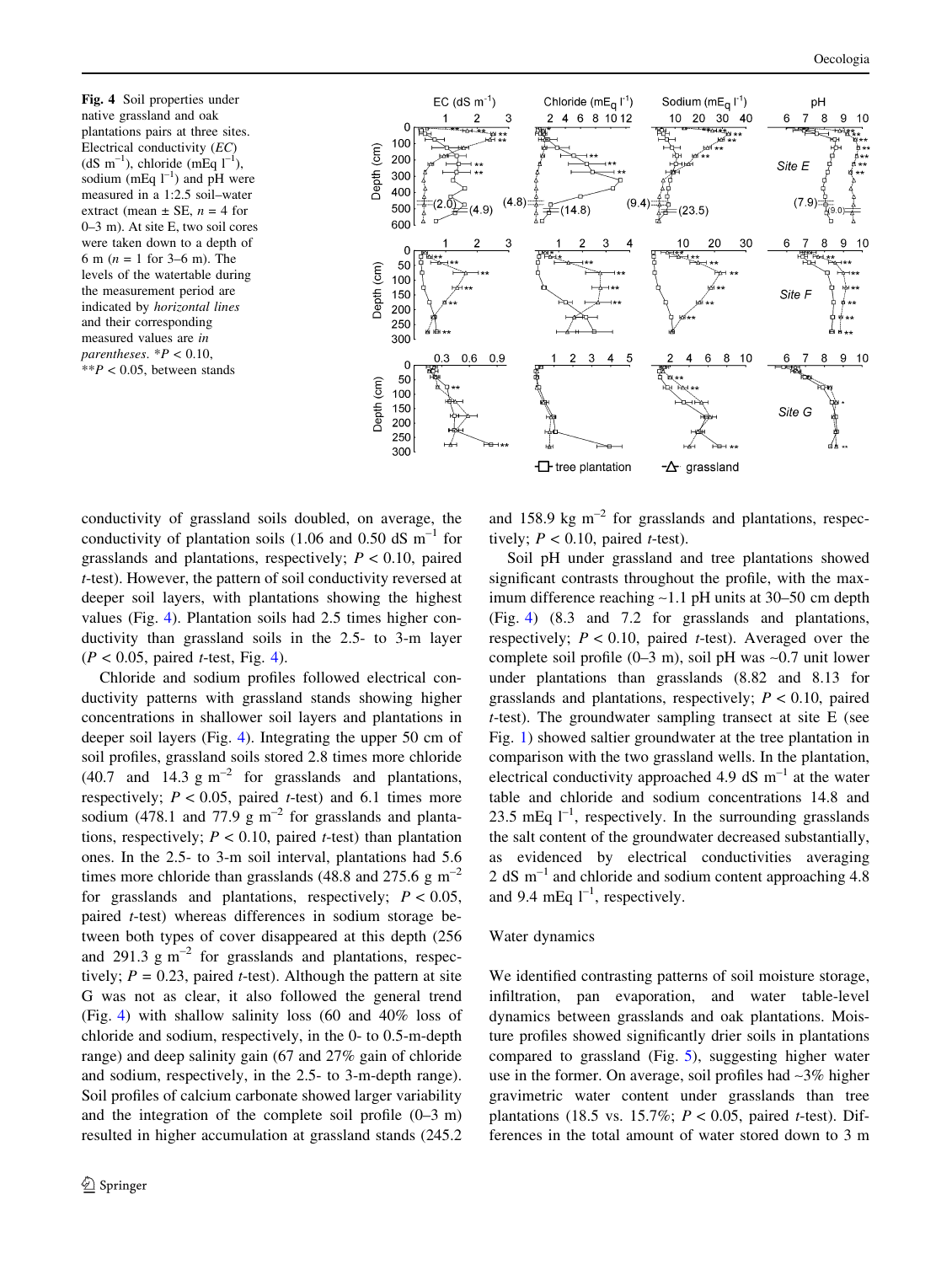<span id="page-5-0"></span>Fig. 4 Soil properties under native grassland and oak plantations pairs at three sites. Electrical conductivity (EC)  $(dS \text{ m}^{-1})$ , chloride (mEq  $l^{-1}$ ), sodium (mEq  $l^{-1}$ ) and pH were measured in a 1:2.5 soil–water extract (mean  $\pm$  SE,  $n = 4$  for 0–3 m). At site E, two soil cores were taken down to a depth of 6 m ( $n = 1$  for 3–6 m). The levels of the watertable during the measurement period are indicated by horizontal lines and their corresponding measured values are in parentheses.  $*P < 0.10$ ,  $*$  $P$  < 0.05, between stands



conductivity of grassland soils doubled, on average, the conductivity of plantation soils (1.06 and 0.50 dS  $\text{m}^{-1}$  for grasslands and plantations, respectively;  $P < 0.10$ , paired t-test). However, the pattern of soil conductivity reversed at deeper soil layers, with plantations showing the highest values (Fig. 4). Plantation soils had 2.5 times higher conductivity than grassland soils in the 2.5- to 3-m layer  $(P < 0.05$ , paired *t*-test, Fig. 4).

Chloride and sodium profiles followed electrical conductivity patterns with grassland stands showing higher concentrations in shallower soil layers and plantations in deeper soil layers (Fig. 4). Integrating the upper 50 cm of soil profiles, grassland soils stored 2.8 times more chloride (40.7 and 14.3  $\text{g m}^{-2}$  for grasslands and plantations, respectively;  $P < 0.05$ , paired t-test) and 6.1 times more sodium (478.1 and 77.9 g  $m^{-2}$  for grasslands and plantations, respectively;  $P < 0.10$ , paired t-test) than plantation ones. In the 2.5- to 3-m soil interval, plantations had 5.6 times more chloride than grasslands (48.8 and 275.6 g  $\text{m}^{-2}$ ) for grasslands and plantations, respectively;  $P < 0.05$ , paired t-test) whereas differences in sodium storage between both types of cover disappeared at this depth (256 and 291.3  $\text{g m}^{-2}$  for grasslands and plantations, respectively;  $P = 0.23$ , paired *t*-test). Although the pattern at site G was not as clear, it also followed the general trend (Fig. 4) with shallow salinity loss (60 and 40% loss of chloride and sodium, respectively, in the 0- to 0.5-m-depth range) and deep salinity gain (67 and 27% gain of chloride and sodium, respectively, in the 2.5- to 3-m-depth range). Soil profiles of calcium carbonate showed larger variability and the integration of the complete soil profile (0–3 m) resulted in higher accumulation at grassland stands (245.2 and 158.9 kg  $m^{-2}$  for grasslands and plantations, respectively;  $P < 0.10$ , paired *t*-test).

Soil pH under grassland and tree plantations showed significant contrasts throughout the profile, with the maximum difference reaching ~1.1 pH units at 30–50 cm depth (Fig. 4) (8.3 and 7.2 for grasslands and plantations, respectively;  $P < 0.10$ , paired t-test). Averaged over the complete soil profile  $(0-3$  m), soil pH was  $\sim 0.7$  unit lower under plantations than grasslands (8.82 and 8.13 for grasslands and plantations, respectively;  $P < 0.10$ , paired t-test). The groundwater sampling transect at site E (see Fig. [1](#page-2-0)) showed saltier groundwater at the tree plantation in comparison with the two grassland wells. In the plantation, electrical conductivity approached 4.9 dS  $m^{-1}$  at the water table and chloride and sodium concentrations 14.8 and 23.5 mEq  $1^{-1}$ , respectively. In the surrounding grasslands the salt content of the groundwater decreased substantially, as evidenced by electrical conductivities averaging 2 dS  $m^{-1}$  and chloride and sodium content approaching 4.8 and 9.4 mEq  $1^{-1}$ , respectively.

## Water dynamics

We identified contrasting patterns of soil moisture storage, infiltration, pan evaporation, and water table-level dynamics between grasslands and oak plantations. Moisture profiles showed significantly drier soils in plantations compared to grassland (Fig. [5](#page-6-0)), suggesting higher water use in the former. On average, soil profiles had ~3% higher gravimetric water content under grasslands than tree plantations (18.5 vs. 15.7%;  $P < 0.05$ , paired t-test). Differences in the total amount of water stored down to 3 m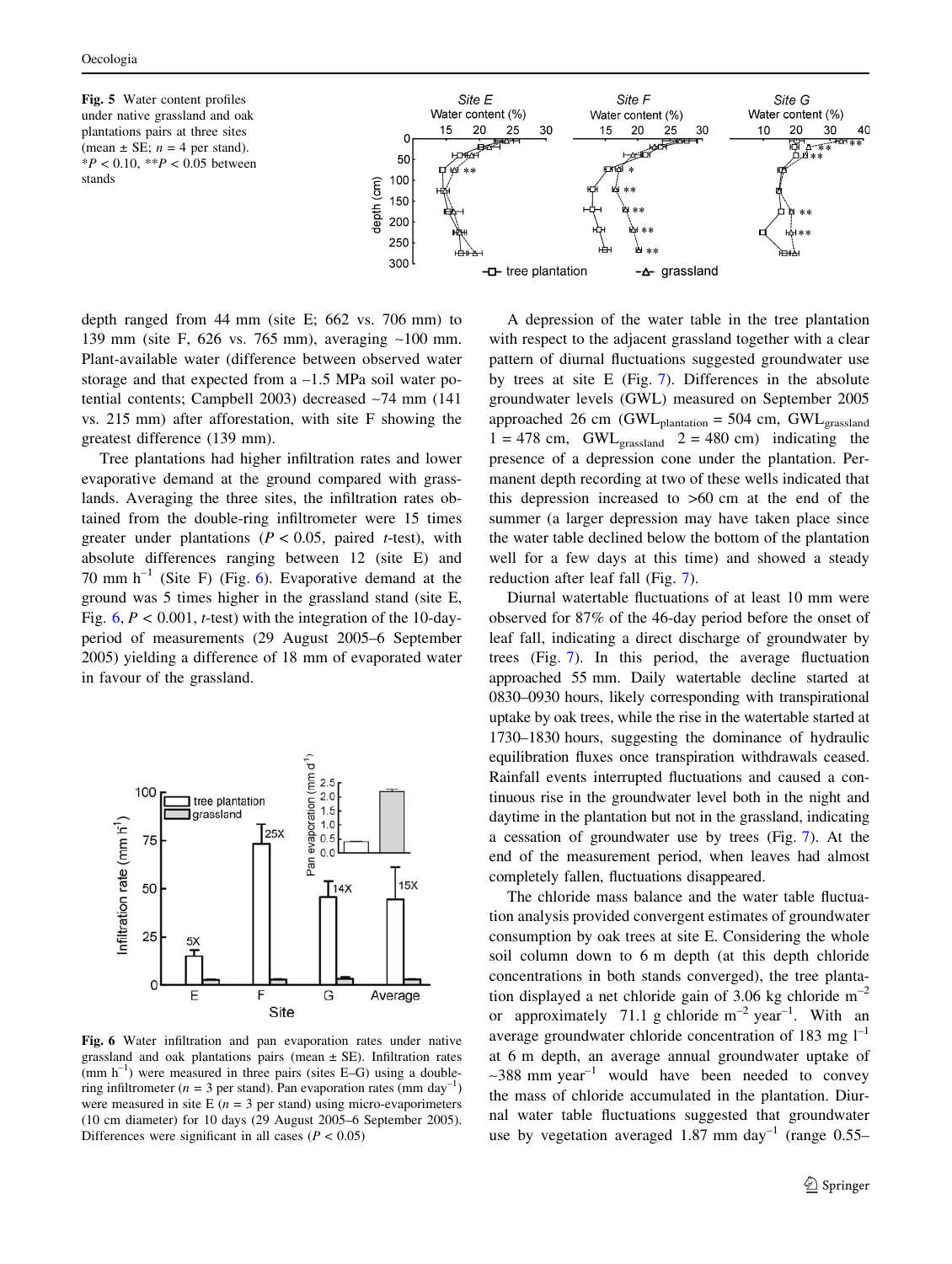<span id="page-6-0"></span>Fig. 5 Water content profiles under native grassland and oak plantations pairs at three sites (mean  $\pm$  SE;  $n = 4$  per stand).  $*P < 0.10, **P < 0.05$  between stands



depth ranged from 44 mm (site E; 662 vs. 706 mm) to 139 mm (site F, 626 vs. 765 mm), averaging ~100 mm. Plant-available water (difference between observed water storage and that expected from a –1.5 MPa soil water potential contents; Campbell 2003) decreased ~74 mm (141 vs. 215 mm) after afforestation, with site F showing the greatest difference (139 mm).

Tree plantations had higher infiltration rates and lower evaporative demand at the ground compared with grasslands. Averaging the three sites, the infiltration rates obtained from the double-ring infiltrometer were 15 times greater under plantations ( $P < 0.05$ , paired t-test), with absolute differences ranging between 12 (site E) and 70 mm  $h^{-1}$  (Site F) (Fig. 6). Evaporative demand at the ground was 5 times higher in the grassland stand (site E, Fig.  $6, P < 0.001$ , *t*-test) with the integration of the 10-dayperiod of measurements (29 August 2005–6 September 2005) yielding a difference of 18 mm of evaporated water in favour of the grassland.



Fig. 6 Water infiltration and pan evaporation rates under native grassland and oak plantations pairs (mean  $\pm$  SE). Infiltration rates  $(nm h^{-1})$  were measured in three pairs (sites E–G) using a doublering infiltrometer ( $n = 3$  per stand). Pan evaporation rates (mm day<sup>-1</sup>) were measured in site E  $(n = 3$  per stand) using micro-evaporimeters (10 cm diameter) for 10 days (29 August 2005–6 September 2005). Differences were significant in all cases ( $P < 0.05$ )

A depression of the water table in the tree plantation with respect to the adjacent grassland together with a clear pattern of diurnal fluctuations suggested groundwater use by trees at site E (Fig. [7\)](#page-7-0). Differences in the absolute groundwater levels (GWL) measured on September 2005 approached 26 cm (GWL<sub>plantation</sub> = 504 cm, GWL $_{grassland}$  $1 = 478$  cm, GWL<sub>grassland</sub>  $2 = 480$  cm) indicating the presence of a depression cone under the plantation. Permanent depth recording at two of these wells indicated that this depression increased to >60 cm at the end of the summer (a larger depression may have taken place since the water table declined below the bottom of the plantation well for a few days at this time) and showed a steady reduction after leaf fall (Fig. [7\)](#page-7-0).

Diurnal watertable fluctuations of at least 10 mm were observed for 87% of the 46-day period before the onset of leaf fall, indicating a direct discharge of groundwater by trees (Fig. [7](#page-7-0)). In this period, the average fluctuation approached 55 mm. Daily watertable decline started at 0830–0930 hours, likely corresponding with transpirational uptake by oak trees, while the rise in the watertable started at 1730–1830 hours, suggesting the dominance of hydraulic equilibration fluxes once transpiration withdrawals ceased. Rainfall events interrupted fluctuations and caused a continuous rise in the groundwater level both in the night and daytime in the plantation but not in the grassland, indicating a cessation of groundwater use by trees (Fig. [7\)](#page-7-0). At the end of the measurement period, when leaves had almost completely fallen, fluctuations disappeared.

The chloride mass balance and the water table fluctuation analysis provided convergent estimates of groundwater consumption by oak trees at site E. Considering the whole soil column down to 6 m depth (at this depth chloride concentrations in both stands converged), the tree plantation displayed a net chloride gain of 3.06 kg chloride  $m^{-2}$ or approximately 71.1 g chloride  $m^{-2}$  year<sup>-1</sup>. With an average groundwater chloride concentration of 183 mg  $1^{-1}$ at 6 m depth, an average annual groundwater uptake of  $\sim$ 388 mm year<sup>-1</sup> would have been needed to convey the mass of chloride accumulated in the plantation. Diurnal water table fluctuations suggested that groundwater use by vegetation averaged 1.87 mm day<sup>-1</sup> (range  $0.55-$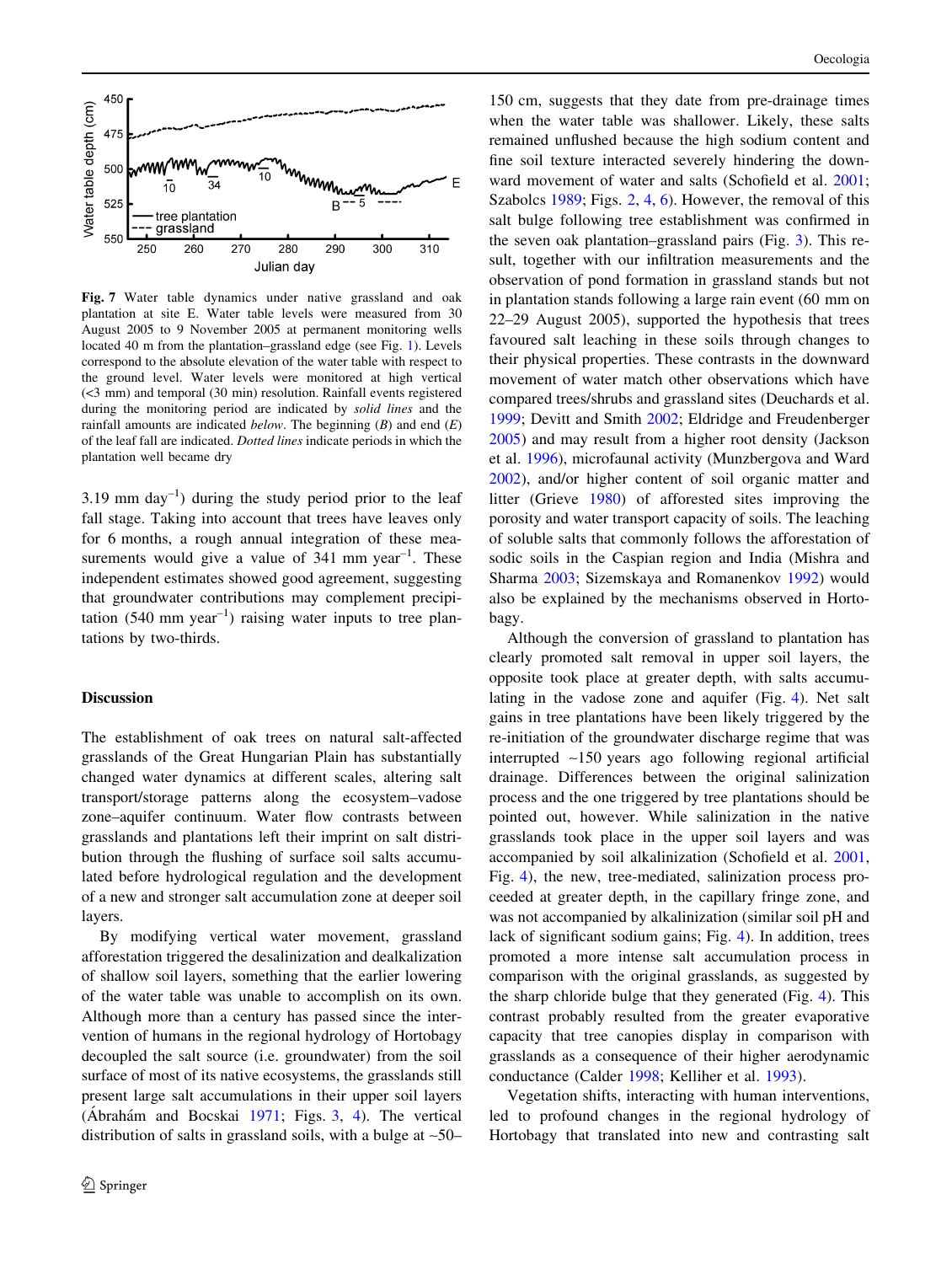<span id="page-7-0"></span>

Fig. 7 Water table dynamics under native grassland and oak plantation at site E. Water table levels were measured from 30 August 2005 to 9 November 2005 at permanent monitoring wells located 40 m from the plantation–grassland edge (see Fig. [1\)](#page-2-0). Levels correspond to the absolute elevation of the water table with respect to the ground level. Water levels were monitored at high vertical (<3 mm) and temporal (30 min) resolution. Rainfall events registered during the monitoring period are indicated by solid lines and the rainfall amounts are indicated *below*. The beginning  $(B)$  and end  $(E)$ of the leaf fall are indicated. Dotted lines indicate periods in which the plantation well became dry

3.19 mm  $\text{day}^{-1}$ ) during the study period prior to the leaf fall stage. Taking into account that trees have leaves only for 6 months, a rough annual integration of these measurements would give a value of  $341$  mm year<sup>-1</sup>. These independent estimates showed good agreement, suggesting that groundwater contributions may complement precipitation (540 mm year<sup>-1</sup>) raising water inputs to tree plantations by two-thirds.

## Discussion

The establishment of oak trees on natural salt-affected grasslands of the Great Hungarian Plain has substantially changed water dynamics at different scales, altering salt transport/storage patterns along the ecosystem–vadose zone–aquifer continuum. Water flow contrasts between grasslands and plantations left their imprint on salt distribution through the flushing of surface soil salts accumulated before hydrological regulation and the development of a new and stronger salt accumulation zone at deeper soil layers.

By modifying vertical water movement, grassland afforestation triggered the desalinization and dealkalization of shallow soil layers, something that the earlier lowering of the water table was unable to accomplish on its own. Although more than a century has passed since the intervention of humans in the regional hydrology of Hortobagy decoupled the salt source (i.e. groundwater) from the soil surface of most of its native ecosystems, the grasslands still present large salt accumulations in their upper soil layers (Abrahám and Bocskai  $1971$ ; Figs. [3](#page-4-0), [4\)](#page-5-0). The vertical distribution of salts in grassland soils, with a bulge at  $\sim$ 50–

150 cm, suggests that they date from pre-drainage times when the water table was shallower. Likely, these salts remained unflushed because the high sodium content and fine soil texture interacted severely hindering the downward movement of water and salts (Schofield et al. [2001](#page-9-0); Szabolcs [1989](#page-9-0); Figs. [2,](#page-3-0) [4,](#page-5-0) [6](#page-6-0)). However, the removal of this salt bulge following tree establishment was confirmed in the seven oak plantation–grassland pairs (Fig. [3\)](#page-4-0). This result, together with our infiltration measurements and the observation of pond formation in grassland stands but not in plantation stands following a large rain event (60 mm on 22–29 August 2005), supported the hypothesis that trees favoured salt leaching in these soils through changes to their physical properties. These contrasts in the downward movement of water match other observations which have compared trees/shrubs and grassland sites (Deuchards et al. [1999](#page-9-0); Devitt and Smith [2002;](#page-9-0) Eldridge and Freudenberger [2005](#page-9-0)) and may result from a higher root density (Jackson et al. [1996](#page-9-0)), microfaunal activity (Munzbergova and Ward [2002](#page-9-0)), and/or higher content of soil organic matter and litter (Grieve [1980\)](#page-9-0) of afforested sites improving the porosity and water transport capacity of soils. The leaching of soluble salts that commonly follows the afforestation of sodic soils in the Caspian region and India (Mishra and Sharma [2003](#page-9-0); Sizemskaya and Romanenkov [1992\)](#page-9-0) would also be explained by the mechanisms observed in Hortobagy.

Although the conversion of grassland to plantation has clearly promoted salt removal in upper soil layers, the opposite took place at greater depth, with salts accumulating in the vadose zone and aquifer (Fig. [4](#page-5-0)). Net salt gains in tree plantations have been likely triggered by the re-initiation of the groundwater discharge regime that was interrupted ~150 years ago following regional artificial drainage. Differences between the original salinization process and the one triggered by tree plantations should be pointed out, however. While salinization in the native grasslands took place in the upper soil layers and was accompanied by soil alkalinization (Schofield et al. [2001,](#page-9-0) Fig. [4](#page-5-0)), the new, tree-mediated, salinization process proceeded at greater depth, in the capillary fringe zone, and was not accompanied by alkalinization (similar soil pH and lack of significant sodium gains; Fig. [4](#page-5-0)). In addition, trees promoted a more intense salt accumulation process in comparison with the original grasslands, as suggested by the sharp chloride bulge that they generated (Fig. [4](#page-5-0)). This contrast probably resulted from the greater evaporative capacity that tree canopies display in comparison with grasslands as a consequence of their higher aerodynamic conductance (Calder [1998;](#page-9-0) Kelliher et al. [1993\)](#page-9-0).

Vegetation shifts, interacting with human interventions, led to profound changes in the regional hydrology of Hortobagy that translated into new and contrasting salt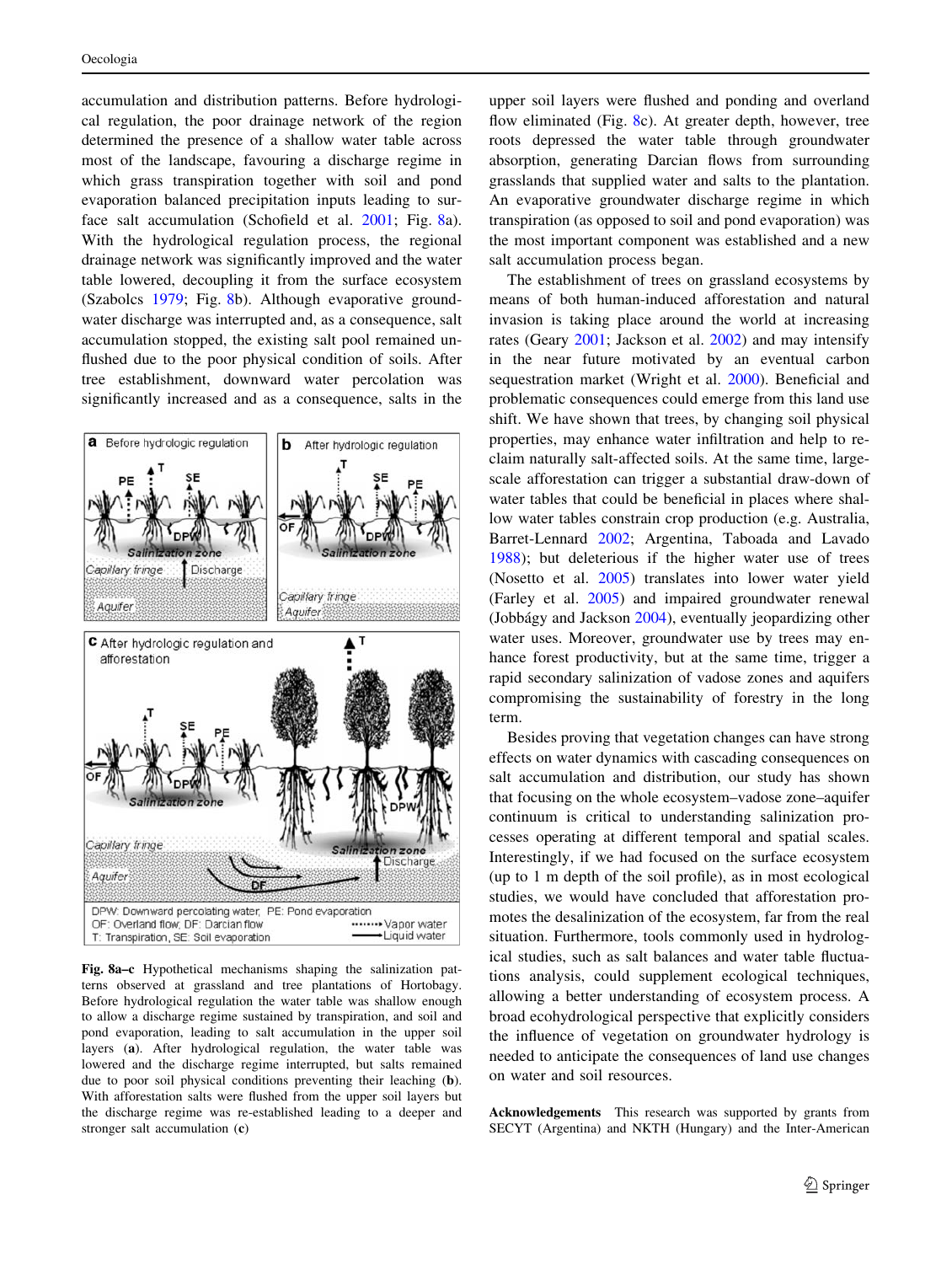accumulation and distribution patterns. Before hydrological regulation, the poor drainage network of the region determined the presence of a shallow water table across most of the landscape, favouring a discharge regime in which grass transpiration together with soil and pond evaporation balanced precipitation inputs leading to surface salt accumulation (Schofield et al. [2001](#page-9-0); Fig. 8a). With the hydrological regulation process, the regional drainage network was significantly improved and the water table lowered, decoupling it from the surface ecosystem (Szabolcs [1979;](#page-9-0) Fig. 8b). Although evaporative groundwater discharge was interrupted and, as a consequence, salt accumulation stopped, the existing salt pool remained unflushed due to the poor physical condition of soils. After tree establishment, downward water percolation was significantly increased and as a consequence, salts in the



Fig. 8a–c Hypothetical mechanisms shaping the salinization patterns observed at grassland and tree plantations of Hortobagy. Before hydrological regulation the water table was shallow enough to allow a discharge regime sustained by transpiration, and soil and pond evaporation, leading to salt accumulation in the upper soil layers (a). After hydrological regulation, the water table was lowered and the discharge regime interrupted, but salts remained due to poor soil physical conditions preventing their leaching (b). With afforestation salts were flushed from the upper soil layers but the discharge regime was re-established leading to a deeper and stronger salt accumulation (c)

upper soil layers were flushed and ponding and overland flow eliminated (Fig. 8c). At greater depth, however, tree roots depressed the water table through groundwater absorption, generating Darcian flows from surrounding grasslands that supplied water and salts to the plantation. An evaporative groundwater discharge regime in which transpiration (as opposed to soil and pond evaporation) was the most important component was established and a new salt accumulation process began.

The establishment of trees on grassland ecosystems by means of both human-induced afforestation and natural invasion is taking place around the world at increasing rates (Geary [2001](#page-9-0); Jackson et al. [2002](#page-9-0)) and may intensify in the near future motivated by an eventual carbon sequestration market (Wright et al. [2000](#page-10-0)). Beneficial and problematic consequences could emerge from this land use shift. We have shown that trees, by changing soil physical properties, may enhance water infiltration and help to reclaim naturally salt-affected soils. At the same time, largescale afforestation can trigger a substantial draw-down of water tables that could be beneficial in places where shallow water tables constrain crop production (e.g. Australia, Barret-Lennard [2002](#page-9-0); Argentina, Taboada and Lavado [1988](#page-9-0)); but deleterious if the higher water use of trees (Nosetto et al. [2005](#page-9-0)) translates into lower water yield (Farley et al. [2005\)](#page-9-0) and impaired groundwater renewal (Jobbágy and Jackson [2004](#page-9-0)), eventually jeopardizing other water uses. Moreover, groundwater use by trees may enhance forest productivity, but at the same time, trigger a rapid secondary salinization of vadose zones and aquifers compromising the sustainability of forestry in the long term.

Besides proving that vegetation changes can have strong effects on water dynamics with cascading consequences on salt accumulation and distribution, our study has shown that focusing on the whole ecosystem–vadose zone–aquifer continuum is critical to understanding salinization processes operating at different temporal and spatial scales. Interestingly, if we had focused on the surface ecosystem (up to 1 m depth of the soil profile), as in most ecological studies, we would have concluded that afforestation promotes the desalinization of the ecosystem, far from the real situation. Furthermore, tools commonly used in hydrological studies, such as salt balances and water table fluctuations analysis, could supplement ecological techniques, allowing a better understanding of ecosystem process. A broad ecohydrological perspective that explicitly considers the influence of vegetation on groundwater hydrology is needed to anticipate the consequences of land use changes on water and soil resources.

Acknowledgements This research was supported by grants from SECYT (Argentina) and NKTH (Hungary) and the Inter-American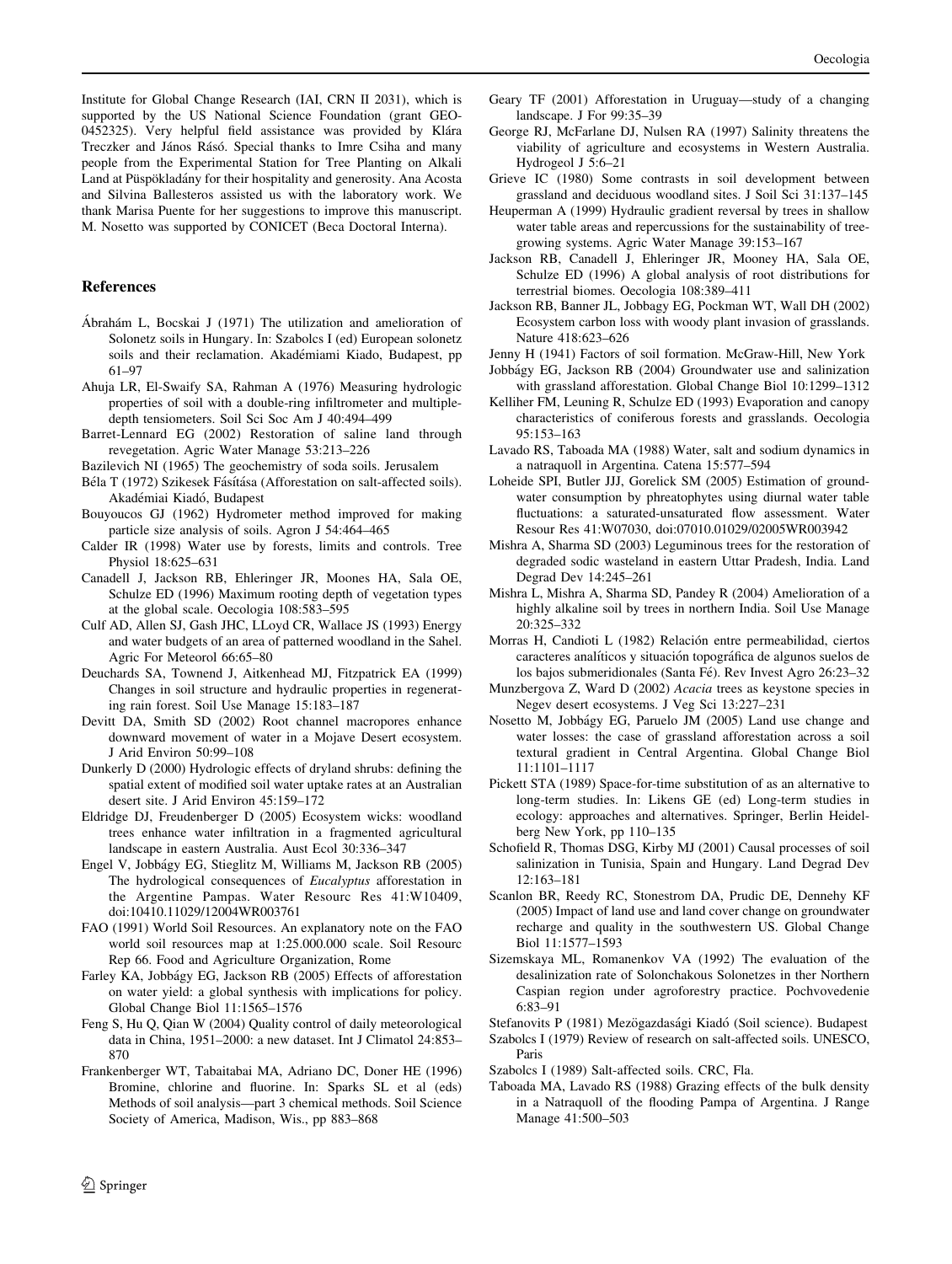<span id="page-9-0"></span>Institute for Global Change Research (IAI, CRN II 2031), which is supported by the US National Science Foundation (grant GEO-0452325). Very helpful field assistance was provided by Klára Treczker and János Rásó. Special thanks to Imre Csiha and many people from the Experimental Station for Tree Planting on Alkali Land at Püspökladány for their hospitality and generosity. Ana Acosta and Silvina Ballesteros assisted us with the laboratory work. We thank Marisa Puente for her suggestions to improve this manuscript. M. Nosetto was supported by CONICET (Beca Doctoral Interna).

# References

- Ábrahám L, Bocskai J (1971) The utilization and amelioration of Solonetz soils in Hungary. In: Szabolcs I (ed) European solonetz soils and their reclamation. Akadémiami Kiado, Budapest, pp 61–97
- Ahuja LR, El-Swaify SA, Rahman A (1976) Measuring hydrologic properties of soil with a double-ring infiltrometer and multipledepth tensiometers. Soil Sci Soc Am J 40:494–499
- Barret-Lennard EG (2002) Restoration of saline land through revegetation. Agric Water Manage 53:213–226
- Bazilevich NI (1965) The geochemistry of soda soils. Jerusalem
- Béla T (1972) Szikesek Fásítása (Afforestation on salt-affected soils). Akadémiai Kiadó, Budapest
- Bouyoucos GJ (1962) Hydrometer method improved for making particle size analysis of soils. Agron J 54:464–465
- Calder IR (1998) Water use by forests, limits and controls. Tree Physiol 18:625–631
- Canadell J, Jackson RB, Ehleringer JR, Moones HA, Sala OE, Schulze ED (1996) Maximum rooting depth of vegetation types at the global scale. Oecologia 108:583–595
- Culf AD, Allen SJ, Gash JHC, LLoyd CR, Wallace JS (1993) Energy and water budgets of an area of patterned woodland in the Sahel. Agric For Meteorol 66:65–80
- Deuchards SA, Townend J, Aitkenhead MJ, Fitzpatrick EA (1999) Changes in soil structure and hydraulic properties in regenerating rain forest. Soil Use Manage 15:183–187
- Devitt DA, Smith SD (2002) Root channel macropores enhance downward movement of water in a Mojave Desert ecosystem. J Arid Environ 50:99–108
- Dunkerly D (2000) Hydrologic effects of dryland shrubs: defining the spatial extent of modified soil water uptake rates at an Australian desert site. J Arid Environ 45:159–172
- Eldridge DJ, Freudenberger D (2005) Ecosystem wicks: woodland trees enhance water infiltration in a fragmented agricultural landscape in eastern Australia. Aust Ecol 30:336–347
- Engel V, Jobba´gy EG, Stieglitz M, Williams M, Jackson RB (2005) The hydrological consequences of Eucalyptus afforestation in the Argentine Pampas. Water Resourc Res 41:W10409, doi:10410.11029/12004WR003761
- FAO (1991) World Soil Resources. An explanatory note on the FAO world soil resources map at 1:25.000.000 scale. Soil Resourc Rep 66. Food and Agriculture Organization, Rome
- Farley KA, Jobbágy EG, Jackson RB (2005) Effects of afforestation on water yield: a global synthesis with implications for policy. Global Change Biol 11:1565–1576
- Feng S, Hu Q, Qian W (2004) Quality control of daily meteorological data in China, 1951–2000: a new dataset. Int J Climatol 24:853– 870
- Frankenberger WT, Tabaitabai MA, Adriano DC, Doner HE (1996) Bromine, chlorine and fluorine. In: Sparks SL et al (eds) Methods of soil analysis—part 3 chemical methods. Soil Science Society of America, Madison, Wis., pp 883–868
- Geary TF (2001) Afforestation in Uruguay—study of a changing landscape. J For 99:35–39
- George RJ, McFarlane DJ, Nulsen RA (1997) Salinity threatens the viability of agriculture and ecosystems in Western Australia. Hydrogeol J 5:6–21
- Grieve IC (1980) Some contrasts in soil development between grassland and deciduous woodland sites. J Soil Sci 31:137–145
- Heuperman A (1999) Hydraulic gradient reversal by trees in shallow water table areas and repercussions for the sustainability of treegrowing systems. Agric Water Manage 39:153–167
- Jackson RB, Canadell J, Ehleringer JR, Mooney HA, Sala OE, Schulze ED (1996) A global analysis of root distributions for terrestrial biomes. Oecologia 108:389–411
- Jackson RB, Banner JL, Jobbagy EG, Pockman WT, Wall DH (2002) Ecosystem carbon loss with woody plant invasion of grasslands. Nature 418:623–626
- Jenny H (1941) Factors of soil formation. McGraw-Hill, New York
- Jobba´gy EG, Jackson RB (2004) Groundwater use and salinization with grassland afforestation. Global Change Biol 10:1299–1312
- Kelliher FM, Leuning R, Schulze ED (1993) Evaporation and canopy characteristics of coniferous forests and grasslands. Oecologia 95:153–163
- Lavado RS, Taboada MA (1988) Water, salt and sodium dynamics in a natraquoll in Argentina. Catena 15:577–594
- Loheide SPI, Butler JJJ, Gorelick SM (2005) Estimation of groundwater consumption by phreatophytes using diurnal water table fluctuations: a saturated-unsaturated flow assessment. Water Resour Res 41:W07030, doi:07010.01029/02005WR003942
- Mishra A, Sharma SD (2003) Leguminous trees for the restoration of degraded sodic wasteland in eastern Uttar Pradesh, India. Land Degrad Dev 14:245–261
- Mishra L, Mishra A, Sharma SD, Pandey R (2004) Amelioration of a highly alkaline soil by trees in northern India. Soil Use Manage 20:325–332
- Morras H, Candioti L (1982) Relación entre permeabilidad, ciertos caracteres analíticos y situación topográfica de algunos suelos de los bajos submeridionales (Santa Fé). Rev Invest Agro 26:23-32
- Munzbergova Z, Ward D (2002) Acacia trees as keystone species in Negev desert ecosystems. J Veg Sci 13:227–231
- Nosetto M, Jobba´gy EG, Paruelo JM (2005) Land use change and water losses: the case of grassland afforestation across a soil textural gradient in Central Argentina. Global Change Biol 11:1101–1117
- Pickett STA (1989) Space-for-time substitution of as an alternative to long-term studies. In: Likens GE (ed) Long-term studies in ecology: approaches and alternatives. Springer, Berlin Heidelberg New York, pp 110–135
- Schofield R, Thomas DSG, Kirby MJ (2001) Causal processes of soil salinization in Tunisia, Spain and Hungary. Land Degrad Dev 12:163–181
- Scanlon BR, Reedy RC, Stonestrom DA, Prudic DE, Dennehy KF (2005) Impact of land use and land cover change on groundwater recharge and quality in the southwestern US. Global Change Biol 11:1577–1593
- Sizemskaya ML, Romanenkov VA (1992) The evaluation of the desalinization rate of Solonchakous Solonetzes in ther Northern Caspian region under agroforestry practice. Pochvovedenie 6:83–91
- Stefanovits P (1981) Mezögazdasági Kiadó (Soil science). Budapest Szabolcs I (1979) Review of research on salt-affected soils. UNESCO,
- Paris Szabolcs I (1989) Salt-affected soils. CRC, Fla.
- Taboada MA, Lavado RS (1988) Grazing effects of the bulk density in a Natraquoll of the flooding Pampa of Argentina. J Range Manage 41:500–503